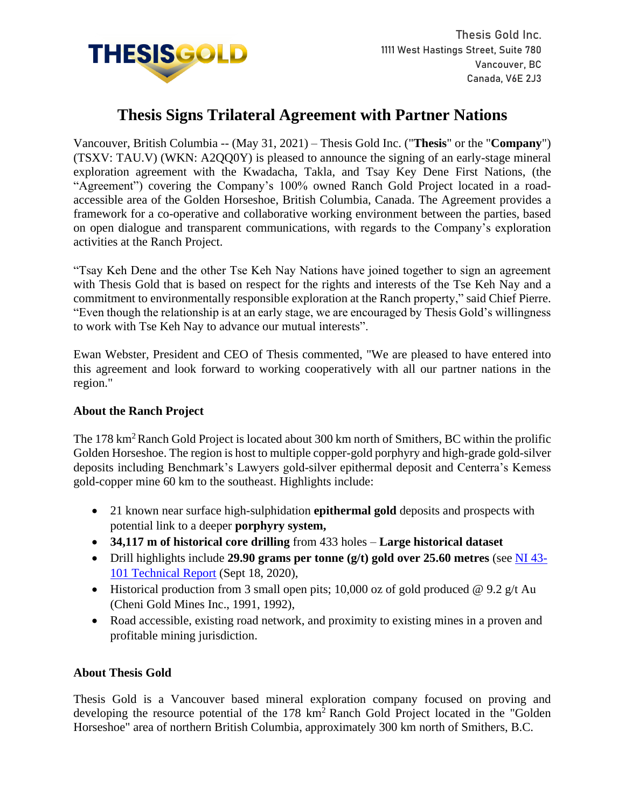

# **Thesis Signs Trilateral Agreement with Partner Nations**

Vancouver, British Columbia -- (May 31, 2021) – Thesis Gold Inc. ("**Thesis**" or the "**Company**") (TSXV: TAU.V) (WKN: A2QQ0Y) is pleased to announce the signing of an early-stage mineral exploration agreement with the Kwadacha, Takla, and Tsay Key Dene First Nations, (the "Agreement") covering the Company's 100% owned Ranch Gold Project located in a roadaccessible area of the Golden Horseshoe, British Columbia, Canada. The Agreement provides a framework for a co-operative and collaborative working environment between the parties, based on open dialogue and transparent communications, with regards to the Company's exploration activities at the Ranch Project.

"Tsay Keh Dene and the other Tse Keh Nay Nations have joined together to sign an agreement with Thesis Gold that is based on respect for the rights and interests of the Tse Keh Nay and a commitment to environmentally responsible exploration at the Ranch property," said Chief Pierre. "Even though the relationship is at an early stage, we are encouraged by Thesis Gold's willingness to work with Tse Keh Nay to advance our mutual interests".

Ewan Webster, President and CEO of Thesis commented, "We are pleased to have entered into this agreement and look forward to working cooperatively with all our partner nations in the region."

### **About the Ranch Project**

The 178 km<sup>2</sup> Ranch Gold Project is located about 300 km north of Smithers, BC within the prolific Golden Horseshoe. The region is host to multiple copper-gold porphyry and high-grade gold-silver deposits including Benchmark's Lawyers gold-silver epithermal deposit and Centerra's Kemess gold-copper mine 60 km to the southeast. Highlights include:

- 21 known near surface high-sulphidation **epithermal gold** deposits and prospects with potential link to a deeper **porphyry system,**
- **34,117 m of historical core drilling** from 433 holes **Large historical dataset**
- Drill highlights include **29.90 grams per tonne (g/t) gold over 25.60 metres** (see [NI 43-](https://www.sedar.com/CheckCode.do) [101 Technical Report](https://www.sedar.com/CheckCode.do) (Sept 18, 2020),
- Historical production from 3 small open pits; 10,000 oz of gold produced @ 9.2 g/t Au (Cheni Gold Mines Inc., 1991, 1992),
- Road accessible, existing road network, and proximity to existing mines in a proven and profitable mining jurisdiction.

## **About Thesis Gold**

Thesis Gold is a Vancouver based mineral exploration company focused on proving and developing the resource potential of the 178 km<sup>2</sup> Ranch Gold Project located in the "Golden Horseshoe" area of northern British Columbia, approximately 300 km north of Smithers, B.C.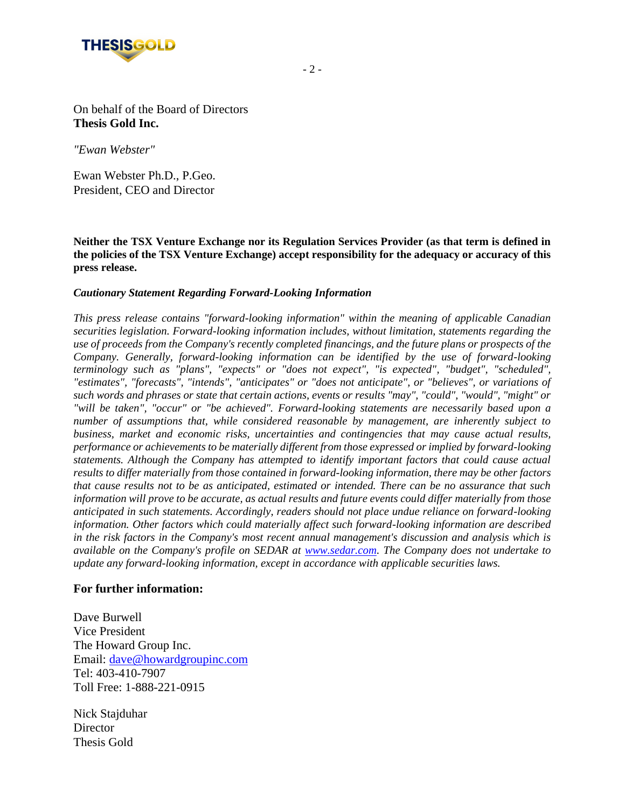

On behalf of the Board of Directors **Thesis Gold Inc.**

*"Ewan Webster"*

Ewan Webster Ph.D., P.Geo. President, CEO and Director

**Neither the TSX Venture Exchange nor its Regulation Services Provider (as that term is defined in the policies of the TSX Venture Exchange) accept responsibility for the adequacy or accuracy of this press release.**

#### *Cautionary Statement Regarding Forward-Looking Information*

*This press release contains "forward-looking information" within the meaning of applicable Canadian securities legislation. Forward-looking information includes, without limitation, statements regarding the use of proceeds from the Company's recently completed financings, and the future plans or prospects of the Company. Generally, forward-looking information can be identified by the use of forward-looking terminology such as "plans", "expects" or "does not expect", "is expected", "budget", "scheduled", "estimates", "forecasts", "intends", "anticipates" or "does not anticipate", or "believes", or variations of such words and phrases or state that certain actions, events or results "may", "could", "would", "might" or "will be taken", "occur" or "be achieved". Forward-looking statements are necessarily based upon a number of assumptions that, while considered reasonable by management, are inherently subject to business, market and economic risks, uncertainties and contingencies that may cause actual results, performance or achievements to be materially different from those expressed or implied by forward-looking statements. Although the Company has attempted to identify important factors that could cause actual results to differ materially from those contained in forward-looking information, there may be other factors that cause results not to be as anticipated, estimated or intended. There can be no assurance that such information will prove to be accurate, as actual results and future events could differ materially from those anticipated in such statements. Accordingly, readers should not place undue reliance on forward-looking information. Other factors which could materially affect such forward-looking information are described in the risk factors in the Company's most recent annual management's discussion and analysis which is available on the Company's profile on SEDAR at www.sedar.com. The Company does not undertake to update any forward-looking information, except in accordance with applicable securities laws.*

#### **For further information:**

Dave Burwell Vice President The Howard Group Inc. Email: dave@howardgroupinc.com Tel: 403-410-7907 Toll Free: 1-888-221-0915

Nick Stajduhar **Director** Thesis Gold